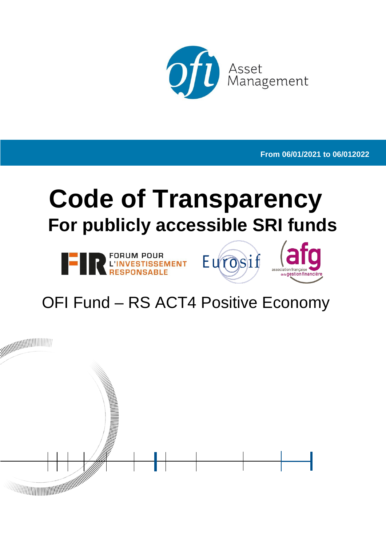

**From 06/01/2021 to 06/012022**

# **Code of Transparency For publicly accessible SRI funds**







# OFI Fund – RS ACT4 Positive Economy

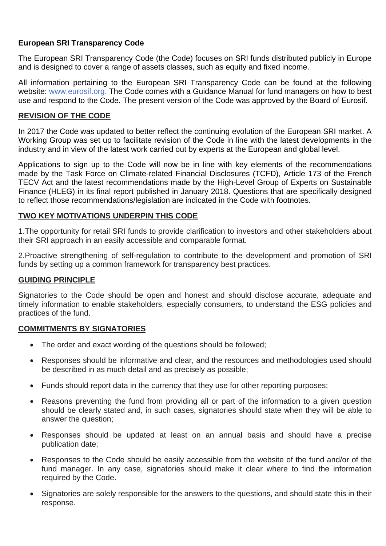#### **European SRI Transparency Code**

The European SRI Transparency Code (the Code) focuses on SRI funds distributed publicly in Europe and is designed to cover a range of assets classes, such as equity and fixed income.

All information pertaining to the European SRI Transparency Code can be found at the following website: [www.eurosif.org.](http://www.eurosif.org/) The Code comes with a Guidance Manual for fund managers on how to best use and respond to the Code. The present version of the Code was approved by the Board of Eurosif.

#### **REVISION OF THE CODE**

In 2017 the Code was updated to better reflect the continuing evolution of the European SRI market. A Working Group was set up to facilitate revision of the Code in line with the latest developments in the industry and in view of the latest work carried out by experts at the European and global level.

Applications to sign up to the Code will now be in line with key elements of the recommendations made by the Task Force on Climate-related Financial Disclosures (TCFD), Article 173 of the French TECV Act and the latest recommendations made by the High-Level Group of Experts on Sustainable Finance (HLEG) in its final report published in January 2018. Questions that are specifically designed to reflect those recommendations/legislation are indicated in the Code with footnotes.

#### **TWO KEY MOTIVATIONS UNDERPIN THIS CODE**

1.The opportunity for retail SRI funds to provide clarification to investors and other stakeholders about their SRI approach in an easily accessible and comparable format.

2.Proactive strengthening of self-regulation to contribute to the development and promotion of SRI funds by setting up a common framework for transparency best practices.

#### **GUIDING PRINCIPLE**

Signatories to the Code should be open and honest and should disclose accurate, adequate and timely information to enable stakeholders, especially consumers, to understand the ESG policies and practices of the fund.

#### **COMMITMENTS BY SIGNATORIES**

- The order and exact wording of the questions should be followed;
- Responses should be informative and clear, and the resources and methodologies used should be described in as much detail and as precisely as possible;
- Funds should report data in the currency that they use for other reporting purposes;
- Reasons preventing the fund from providing all or part of the information to a given question should be clearly stated and, in such cases, signatories should state when they will be able to answer the question;
- Responses should be updated at least on an annual basis and should have a precise publication date;
- Responses to the Code should be easily accessible from the website of the fund and/or of the fund manager. In any case, signatories should make it clear where to find the information required by the Code.
- Signatories are solely responsible for the answers to the questions, and should state this in their response.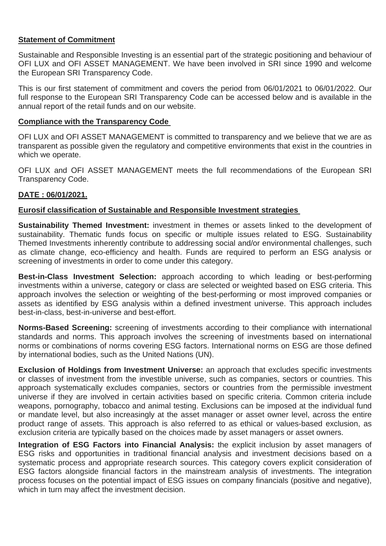#### **Statement of Commitment**

Sustainable and Responsible Investing is an essential part of the strategic positioning and behaviour of OFI LUX and OFI ASSET MANAGEMENT. We have been involved in SRI since 1990 and welcome the European SRI Transparency Code.

This is our first statement of commitment and covers the period from 06/01/2021 to 06/01/2022. Our full response to the European SRI Transparency Code can be accessed below and is available in the annual report of the retail funds and on our website.

#### **Compliance with the Transparency Code**

OFI LUX and OFI ASSET MANAGEMENT is committed to transparency and we believe that we are as transparent as possible given the regulatory and competitive environments that exist in the countries in which we operate.

OFI LUX and OFI ASSET MANAGEMENT meets the full recommendations of the European SRI Transparency Code.

#### **DATE : 06/01/2021.**

#### **Eurosif classification of Sustainable and Responsible Investment strategies**

**Sustainability Themed Investment:** investment in themes or assets linked to the development of sustainability. Thematic funds focus on specific or multiple issues related to ESG. Sustainability Themed Investments inherently contribute to addressing social and/or environmental challenges, such as climate change, eco-efficiency and health. Funds are required to perform an ESG analysis or screening of investments in order to come under this category.

**Best-in-Class Investment Selection:** approach according to which leading or best-performing investments within a universe, category or class are selected or weighted based on ESG criteria. This approach involves the selection or weighting of the best-performing or most improved companies or assets as identified by ESG analysis within a defined investment universe. This approach includes best-in-class, best-in-universe and best-effort.

**Norms-Based Screening:** screening of investments according to their compliance with international standards and norms. This approach involves the screening of investments based on international norms or combinations of norms covering ESG factors. International norms on ESG are those defined by international bodies, such as the United Nations (UN).

**Exclusion of Holdings from Investment Universe:** an approach that excludes specific investments or classes of investment from the investible universe, such as companies, sectors or countries. This approach systematically excludes companies, sectors or countries from the permissible investment universe if they are involved in certain activities based on specific criteria. Common criteria include weapons, pornography, tobacco and animal testing. Exclusions can be imposed at the individual fund or mandate level, but also increasingly at the asset manager or asset owner level, across the entire product range of assets. This approach is also referred to as ethical or values-based exclusion, as exclusion criteria are typically based on the choices made by asset managers or asset owners.

**Integration of ESG Factors into Financial Analysis:** the explicit inclusion by asset managers of ESG risks and opportunities in traditional financial analysis and investment decisions based on a systematic process and appropriate research sources. This category covers explicit consideration of ESG factors alongside financial factors in the mainstream analysis of investments. The integration process focuses on the potential impact of ESG issues on company financials (positive and negative), which in turn may affect the investment decision.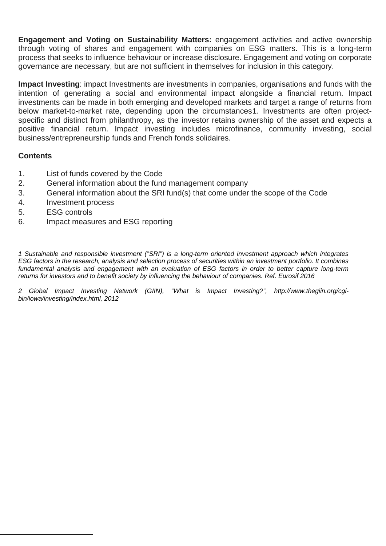**Engagement and Voting on Sustainability Matters:** engagement activities and active ownership through voting of shares and engagement with companies on ESG matters. This is a long-term process that seeks to influence behaviour or increase disclosure. Engagement and voting on corporate governance are necessary, but are not sufficient in themselves for inclusion in this category.

**Impact Investing**: impact Investments are investments in companies, organisations and funds with the intention of generating a social and environmental impact alongside a financial return. Impact investments can be made in both emerging and developed markets and target a range of returns from below market-to-market rate, depending upon the circumstances[1.](#page-3-0) Investments are often projectspecific and distinct from philanthropy, as the investor retains ownership of the asset and expects a positive financial return. Impact investing includes microfinance, community investing, social business/entrepreneurship funds and French fonds solidaires.

#### **Contents**

- 1. List of funds covered by the Code
- 2. General information about the fund management company
- 3. General information about the SRI fund(s) that come under the scope of the Code
- 4. Investment process
- 5. ESG controls
- 6. Impact measures and ESG reporting

*1 Sustainable and responsible investment ("SRI") is a long-term oriented investment approach which integrates ESG factors in the research, analysis and selection process of securities within an investment portfolio. It combines fundamental analysis and engagement with an evaluation of ESG factors in order to better capture long-term returns for investors and to benefit society by influencing the behaviour of companies. Ref. Eurosif 2016*

<span id="page-3-0"></span>2 Global Impact Investing Network (GIIN), "What is Impact Investing?", [http://www.thegiin.org/cgi](http://www.thegiin.org/cgi-bin/iowa/investing/index.html)*[bin/iowa/investing/index.html,](http://www.thegiin.org/cgi-bin/iowa/investing/index.html) 2012*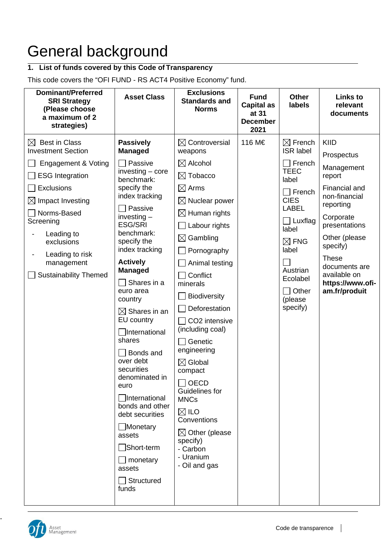# General background

#### **1. List of funds covered by this Code of Transparency**

This code covers the "OFI FUND - RS ACT4 Positive Economy" fund.

| <b>Dominant/Preferred</b><br><b>SRI Strategy</b><br>(Please choose<br>a maximum of 2<br>strategies)                                                                                                                                                                                       | <b>Asset Class</b>                                                                                                                                                                                                                                                                                                                                                                                                                                                                                                                                                                                | <b>Exclusions</b><br><b>Standards and</b><br><b>Norms</b>                                                                                                                                                                                                                                                                                                                                                                                                                                                                                                                        | <b>Fund</b><br><b>Capital as</b><br>at 31<br><b>December</b><br>2021 | <b>Other</b><br><b>labels</b>                                                                                                                                                                                                                         | <b>Links to</b><br>relevant<br>documents                                                                                                                                                                                                   |
|-------------------------------------------------------------------------------------------------------------------------------------------------------------------------------------------------------------------------------------------------------------------------------------------|---------------------------------------------------------------------------------------------------------------------------------------------------------------------------------------------------------------------------------------------------------------------------------------------------------------------------------------------------------------------------------------------------------------------------------------------------------------------------------------------------------------------------------------------------------------------------------------------------|----------------------------------------------------------------------------------------------------------------------------------------------------------------------------------------------------------------------------------------------------------------------------------------------------------------------------------------------------------------------------------------------------------------------------------------------------------------------------------------------------------------------------------------------------------------------------------|----------------------------------------------------------------------|-------------------------------------------------------------------------------------------------------------------------------------------------------------------------------------------------------------------------------------------------------|--------------------------------------------------------------------------------------------------------------------------------------------------------------------------------------------------------------------------------------------|
| <b>Best in Class</b><br>$\bowtie$<br><b>Investment Section</b><br>Engagement & Voting<br><b>ESG Integration</b><br>Exclusions<br>Impact Investing<br>$\boxtimes$<br>Norms-Based<br>Screening<br>Leading to<br>exclusions<br>Leading to risk<br>management<br><b>Sustainability Themed</b> | <b>Passively</b><br><b>Managed</b><br>Passive<br>$investing - core$<br>benchmark:<br>specify the<br>index tracking<br>Passive<br>$investing -$<br><b>ESG/SRI</b><br>benchmark:<br>specify the<br>index tracking<br><b>Actively</b><br><b>Managed</b><br>Shares in a<br>euro area<br>country<br>$\boxtimes$ Shares in an<br>EU country<br><b>International</b><br>shares<br>Bonds and<br>over debt<br>securities<br>denominated in<br>euro<br>□International<br>bonds and other<br>debt securities<br><b>■Monetary</b><br>assets<br>$\Box$ Short-term<br>monetary<br>assets<br>Structured<br>funds | $\boxtimes$ Controversial<br>weapons<br>$\boxtimes$ Alcohol<br>$\boxtimes$ Tobacco<br>$\boxtimes$ Arms<br>$\boxtimes$ Nuclear power<br>$\boxtimes$ Human rights<br>Labour rights<br>$\boxtimes$ Gambling<br>Pornography<br>Animal testing<br>Conflict<br>minerals<br><b>Biodiversity</b><br>Deforestation<br>CO2 intensive<br>(including coal)<br>Genetic<br>engineering<br>$\boxtimes$ Global<br>compact<br>$\sqcap$ OECD<br>Guidelines for<br><b>MNCs</b><br>$\boxtimes$ ILO<br>Conventions<br>$\boxtimes$ Other (please<br>specify)<br>- Carbon<br>- Uranium<br>- Oil and gas | 116 M€                                                               | $\boxtimes$ French<br><b>ISR</b> label<br>$\sqcap$ French<br><b>TEEC</b><br>label<br>$\sqcap$ French<br><b>CIES</b><br><b>LABEL</b><br>$\exists$ Luxflag<br>label<br>$\boxtimes$ FNG<br>label<br>Austrian<br>Ecolabel<br>Other<br>(please<br>specify) | KIID<br>Prospectus<br>Management<br>report<br>Financial and<br>non-financial<br>reporting<br>Corporate<br>presentations<br>Other (please<br>specify)<br><b>These</b><br>documents are<br>available on<br>https://www.ofi-<br>am.fr/produit |
|                                                                                                                                                                                                                                                                                           |                                                                                                                                                                                                                                                                                                                                                                                                                                                                                                                                                                                                   |                                                                                                                                                                                                                                                                                                                                                                                                                                                                                                                                                                                  |                                                                      |                                                                                                                                                                                                                                                       |                                                                                                                                                                                                                                            |



-

 $\overline{\phantom{a}}$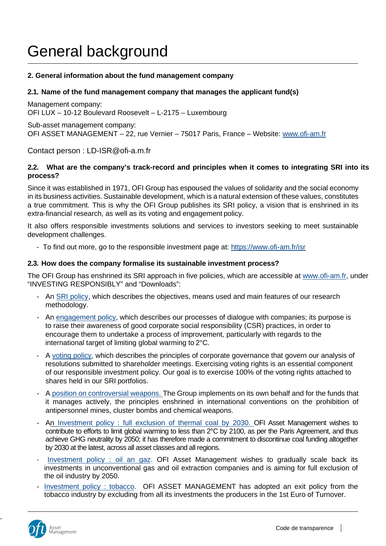### General background

#### **2. General information about the fund management company**

#### **2.1. Name of the fund management company that manages the applicant fund(s)**

Management company: OFI LUX – 10-12 Boulevard Roosevelt – L-2175 – Luxembourg

Sub-asset management company: OFI ASSET MANAGEMENT – 22, rue Vernier – 75017 Paris, France – Website: [www.ofi-am.fr](http://www.ofi-am.fr/)

Contact person : LD-ISR@ofi-a.m.fr

#### **2.2. What are the company's track-record and principles when it comes to integrating SRI into its process?**

Since it was established in 1971, OFI Group has espoused the values of solidarity and the social economy in its business activities. Sustainable development, which is a natural extension of these values, constitutes a true commitment. This is why the OFI Group publishes its SRI policy, a vision that is enshrined in its extra-financial research, as well as its voting and engagement policy.

It also offers responsible investments solutions and services to investors seeking to meet sustainable development challenges.

- To find out more, go to the responsible investment page at: https[://www.ofi-am.fr/isr](http://www.ofi-am.fr/isr)

#### **2.3. How does the company formalise its sustainable investment process?**

The OFI Group has enshrined its SRI approach in five policies, which are accessible at www.ofi-am.fr, under "INVESTING RESPONSIBLY" and "Downloads":

- An SRI policy, which describes the objectives, means used and main features of our research methodology.
- An engagement policy, which describes our processes of dialogue with companies; its purpose is to raise their awareness of good corporate social responsibility (CSR) practices, in order to encourage them to undertake a process of improvement, particularly with regards to the international target of limiting global warming to 2°C.
- A voting policy, which describes the principles of corporate governance that govern our analysis of resolutions submitted to shareholder meetings. Exercising voting rights is an essential component of our responsible investment policy. Our goal is to exercise 100% of the voting rights attached to shares held in our SRI portfolios.
- A position on controversial weapons. The Group implements on its own behalf and for the funds that it manages actively, the principles enshrined in international conventions on the prohibition of antipersonnel mines, cluster bombs and chemical weapons.
- An [Investment policy : full exclusion of thermal coal by 2030.](https://www.ofi-am.fr/pdf/ISR_Investment-policy_full-exclusion-of-thermal-coal-by-2030.pdf) OFI Asset Management wishes to contribute to efforts to limit global warming to less than 2°C by 2100, as per the Paris Agreement, and thus achieve GHG neutrality by 2050; it has therefore made a commitment to discontinue coal funding altogether by 2030 at the latest, across all asset classes and all regions.
- [Investment policy : oil an gaz.](https://www.ofi-am.fr/pdf/ISR_investment-policy_oil-and-gas.pdf) OFI Asset Management wishes to gradually scale back its investments in unconventional gas and oil extraction companies and is aiming for full exclusion of the oil industry by 2050.
- [Investment policy : tobacco.](https://www.ofi-am.fr/pdf/SRI_investment-policy_exclusion-of-tobacco.pdf) OFI ASSET MANAGEMENT has adopted an exit policy from the tobacco industry by excluding from all its investments the producers in the 1st Euro of Turnover.



-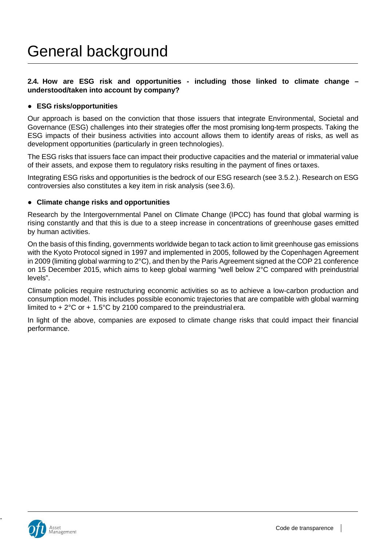#### **2.4. How are ESG risk and opportunities - including those linked to climate change – understood/taken into account by company?**

#### ● **ESG risks/opportunities**

Our approach is based on the conviction that those issuers that integrate Environmental, Societal and Governance (ESG) challenges into their strategies offer the most promising long-term prospects. Taking the ESG impacts of their business activities into account allows them to identify areas of risks, as well as development opportunities (particularly in green technologies).

The ESG risks that issuers face can impact their productive capacities and the material or immaterial value of their assets, and expose them to regulatory risks resulting in the payment of fines ortaxes.

Integrating ESG risks and opportunities is the bedrock of our ESG research (see 3.5.2.). Research on ESG controversies also constitutes a key item in risk analysis (see 3.6).

#### ● **Climate change risks and opportunities**

Research by the Intergovernmental Panel on Climate Change (IPCC) has found that global warming is rising constantly and that this is due to a steep increase in concentrations of greenhouse gases emitted by human activities.

On the basis of this finding, governments worldwide began to tack action to limit greenhouse gas emissions with the Kyoto Protocol signed in 1997 and implemented in 2005, followed by the Copenhagen Agreement in 2009 (limiting global warming to 2°C), and then by the Paris Agreement signed at the COP 21 conference on 15 December 2015, which aims to keep global warming "well below 2°C compared with preindustrial levels".

Climate policies require restructuring economic activities so as to achieve a low-carbon production and consumption model. This includes possible economic trajectories that are compatible with global warming limited to  $+2^{\circ}$ C or  $+1.5^{\circ}$ C by 2100 compared to the preindustrial era.

In light of the above, companies are exposed to climate change risks that could impact their financial performance.



-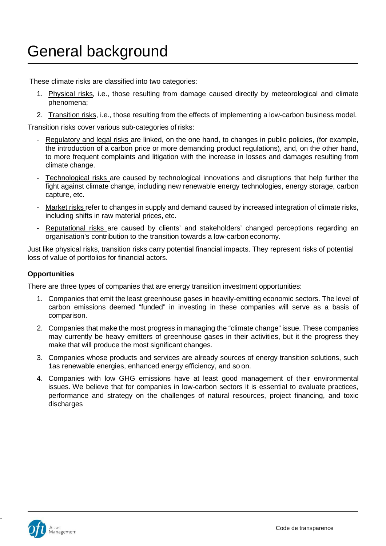### General background

These climate risks are classified into two categories:

- 1. Physical risks, i.e., those resulting from damage caused directly by meteorological and climate phenomena;
- 2. Transition risks, i.e., those resulting from the effects of implementing a low-carbon business model.

Transition risks cover various sub-categories of risks:

- Regulatory and legal risks are linked, on the one hand, to changes in public policies, (for example, the introduction of a carbon price or more demanding product regulations), and, on the other hand, to more frequent complaints and litigation with the increase in losses and damages resulting from climate change.
- Technological risks are caused by technological innovations and disruptions that help further the fight against climate change, including new renewable energy technologies, energy storage, carbon capture, etc.
- Market risks refer to changes in supply and demand caused by increased integration of climate risks, including shifts in raw material prices, etc.
- Reputational risks are caused by clients' and stakeholders' changed perceptions regarding an organisation's contribution to the transition towards a low-carbon economy.

Just like physical risks, transition risks carry potential financial impacts. They represent risks of potential loss of value of portfolios for financial actors.

#### **Opportunities**

There are three types of companies that are energy transition investment opportunities:

- 1. Companies that emit the least greenhouse gases in heavily-emitting economic sectors. The level of carbon emissions deemed "funded" in investing in these companies will serve as a basis of comparison.
- 2. Companies that make the most progress in managing the "climate change" issue. These companies may currently be heavy emitters of greenhouse gases in their activities, but it the progress they make that will produce the most significant changes.
- 3. Companies whose products and services are already sources of energy transition solutions, such 1as renewable energies, enhanced energy efficiency, and so on.
- 4. Companies with low GHG emissions have at least good management of their environmental issues. We believe that for companies in low-carbon sectors it is essential to evaluate practices, performance and strategy on the challenges of natural resources, project financing, and toxic discharges



-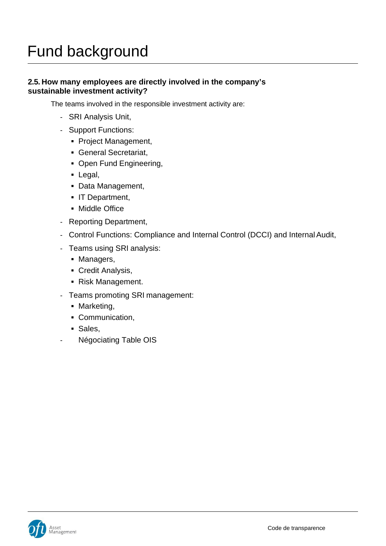#### **2.5. How many employees are directly involved in the company's sustainable investment activity?**

The teams involved in the responsible investment activity are:

- SRI Analysis Unit,
- Support Functions:
	- Project Management,
	- General Secretariat,
	- Open Fund Engineering,
	- Legal,
	- Data Management,
	- **IT Department,**
	- Middle Office
- Reporting Department,
- Control Functions: Compliance and Internal Control (DCCI) and Internal Audit,
- Teams using SRI analysis:
	- Managers,
	- Credit Analysis,
	- Risk Management.
- Teams promoting SRI management:
	- Marketing,
	- Communication,
	- Sales,
- Négociating Table OIS

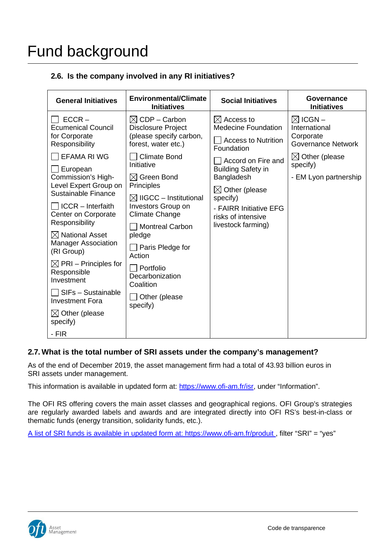#### **2.6. Is the company involved in any RI initiatives?**

| <b>General Initiatives</b>                                                                                                                                                                                                                                                                                                                                                                                                                                                                                  | <b>Environmental/Climate</b><br><b>Initiatives</b>                                                                                                                                                                                                                                                                                                                                                                                 | <b>Social Initiatives</b>                                                                                                                                                                                                                                                       | Governance<br><b>Initiatives</b>                                                                                                                |
|-------------------------------------------------------------------------------------------------------------------------------------------------------------------------------------------------------------------------------------------------------------------------------------------------------------------------------------------------------------------------------------------------------------------------------------------------------------------------------------------------------------|------------------------------------------------------------------------------------------------------------------------------------------------------------------------------------------------------------------------------------------------------------------------------------------------------------------------------------------------------------------------------------------------------------------------------------|---------------------------------------------------------------------------------------------------------------------------------------------------------------------------------------------------------------------------------------------------------------------------------|-------------------------------------------------------------------------------------------------------------------------------------------------|
| $ECCR -$<br><b>Ecumenical Council</b><br>for Corporate<br>Responsibility<br><b>EFAMA RI WG</b><br><b>∐ European</b><br>Commission's High-<br>Level Expert Group on<br>Sustainable Finance<br>$\Box$ ICCR – Interfaith<br>Center on Corporate<br>Responsibility<br>$\boxtimes$ National Asset<br><b>Manager Association</b><br>(RI Group)<br>$\boxtimes$ PRI – Principles for<br>Responsible<br>Investment<br>SIFs - Sustainable<br><b>Investment Fora</b><br>$\boxtimes$ Other (please<br>specify)<br>- FIR | $\boxtimes$ CDP – Carbon<br><b>Disclosure Project</b><br>(please specify carbon,<br>forest, water etc.)<br><b>Climate Bond</b><br>Initiative<br>$\boxtimes$ Green Bond<br>Principles<br>$\boxtimes$ IIGCC – Institutional<br>Investors Group on<br><b>Climate Change</b><br><b>Montreal Carbon</b><br>pledge<br>$\Box$ Paris Pledge for<br>Action<br>$\Box$ Portfolio<br>Decarbonization<br>Coalition<br>Other (please<br>specify) | $\boxtimes$ Access to<br><b>Medecine Foundation</b><br><b>Access to Nutrition</b><br>Foundation<br>Accord on Fire and<br><b>Building Safety in</b><br>Bangladesh<br>$\boxtimes$ Other (please<br>specify)<br>- FAIRR Initiative EFG<br>risks of intensive<br>livestock farming) | $\boxtimes$ ICGN –<br>International<br>Corporate<br><b>Governance Network</b><br>$\boxtimes$ Other (please<br>specify)<br>- EM Lyon partnership |

#### **2.7. What is the total number of SRI assets under the company's management?**

As of the end of December 2019, the asset management firm had a total of 43.93 billion euros in SRI assets under management.

This information is available in updated form at: https[://www.ofi-am.fr/isr,](http://www.ofi-am.fr/isr) under "Information".

The OFI RS offering covers the main asset classes and geographical regions. OFI Group's strategies are regularly awarded labels and awards and are integrated directly into OFI RS's best-in-class or thematic funds (energy transition, solidarity funds, etc.).

A list of SRI funds is available in updated form at: https:/[/www.ofi-am.fr/produit ,](http://www.ofi-am.fr/produit) filter "SRI" = "yes"

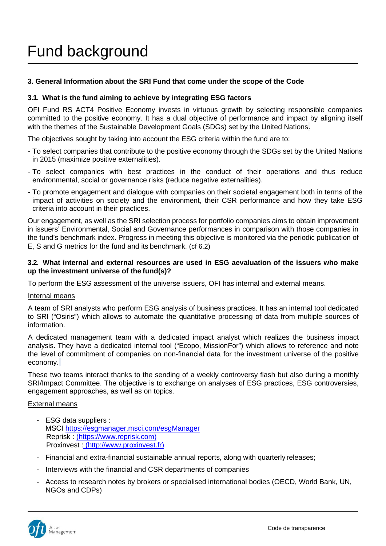#### **3. General Information about the SRI Fund that come under the scope of the Code**

#### **3.1. What is the fund aiming to achieve by integrating ESG factors**

OFI Fund RS ACT4 Positive Economy invests in virtuous growth by selecting responsible companies committed to the positive economy. It has a dual objective of performance and impact by aligning itself with the themes of the Sustainable Development Goals (SDGs) set by the United Nations.

The objectives sought by taking into account the ESG criteria within the fund are to:

- To select companies that contribute to the positive economy through the SDGs set by the United Nations in 2015 (maximize positive externalities).
- To select companies with best practices in the conduct of their operations and thus reduce environmental, social or governance risks (reduce negative externalities).
- To promote engagement and dialogue with companies on their societal engagement both in terms of the impact of activities on society and the environment, their CSR performance and how they take ESG criteria into account in their practices.

Our engagement, as well as the SRI selection process for portfolio companies aims to obtain improvement in issuers' Environmental, Social and Governance performances in comparison with those companies in the fund's benchmark index. Progress in meeting this objective is monitored via the periodic publication of E, S and G metrics for the fund and its benchmark. (cf 6.2)

#### **3.2. What internal and external resources are used in ESG aevaluation of the issuers who make up the investment universe of the fund(s)?**

To perform the ESG assessment of the universe issuers, OFI has internal and external means.

#### Internal means

A team of SRI analysts who perform ESG analysis of business practices. It has an internal tool dedicated to SRI ("Osiris") which allows to automate the quantitative processing of data from multiple sources of information.

A dedicated management team with a dedicated impact analyst which realizes the business impact analysis. They have a dedicated internal tool ("Ecopo, MissionFor") which allows to reference and note the level of commitment of companies on non-financial data for the investment universe of the positive economy.

These two teams interact thanks to the sending of a weekly controversy flash but also during a monthly SRI/Impact Committee. The objective is to exchange on analyses of ESG practices, ESG controversies, engagement approaches, as well as on topics.

#### External means

- ESG data suppliers : MSCI https://esgmanager.msci.com/esgManager Reprisk : [\(https://www.reprisk.com\)](https://www.reprisk.com/) Proxinvest : [\(http://www.proxinvest.fr\)](http://www.proxinvest.fr/)
- Financial and extra-financial sustainable annual reports, along with quarterly releases;
- Interviews with the financial and CSR departments of companies
- Access to research notes by brokers or specialised international bodies (OECD, World Bank, UN, NGOs and CDPs)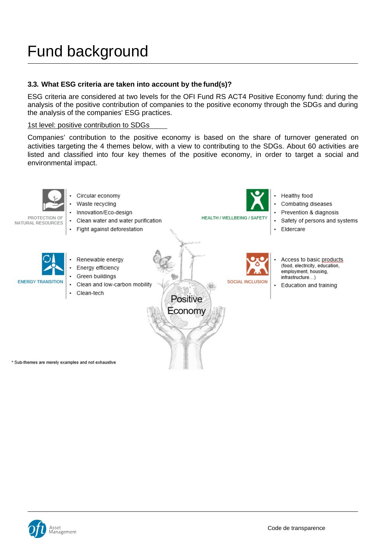#### **3.3. What ESG criteria are taken into account by the fund(s)?**

ESG criteria are considered at two levels for the OFI Fund RS ACT4 Positive Economy fund: during the analysis of the positive contribution of companies to the positive economy through the SDGs and during the analysis of the companies' ESG practices.

#### 1st level: positive contribution to SDGs

Companies' contribution to the positive economy is based on the share of turnover generated on activities targeting the 4 themes below, with a view to contributing to the SDGs. About 60 activities are listed and classified into four key themes of the positive economy, in order to target a social and environmental impact.



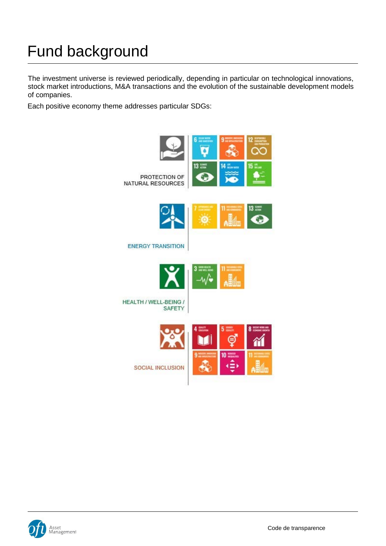The investment universe is reviewed periodically, depending in particular on technological innovations, stock market introductions, M&A transactions and the evolution of the sustainable development models of companies.

Each positive economy theme addresses particular SDGs:



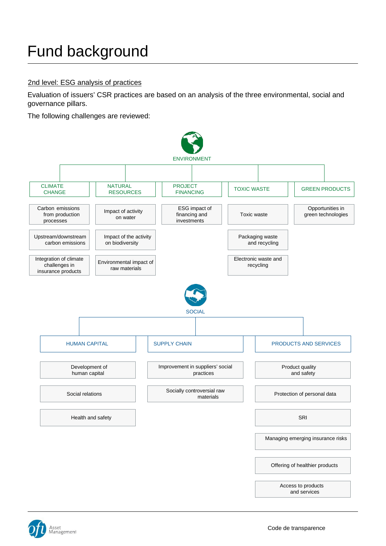#### 2nd level: ESG analysis of practices

Evaluation of issuers' CSR practices are based on an analysis of the three environmental, social and governance pillars.

The following challenges are reviewed:



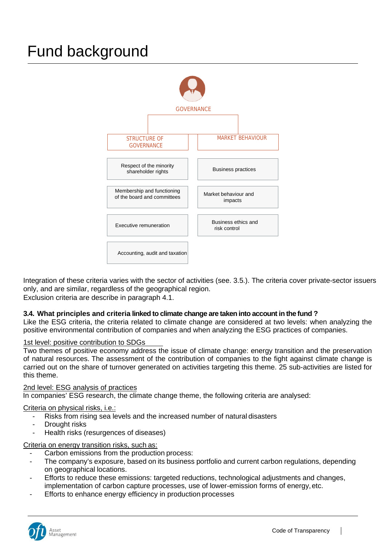

Integration of these criteria varies with the sector of activities (see. 3.5.). The criteria cover private-sector issuers only, and are similar, regardless of the geographical region. Exclusion criteria are describe in paragraph 4.1.

**3.4. What principles and criteria linked to climate change are taken into account in the fund ?**

Like the ESG criteria, the criteria related to climate change are considered at two levels: when analyzing the positive environmental contribution of companies and when analyzing the ESG practices of companies.

#### 1st level: positive contribution to SDGs

Two themes of positive economy address the issue of climate change: energy transition and the preservation of natural resources. The assessment of the contribution of companies to the fight against climate change is carried out on the share of turnover generated on activities targeting this theme. 25 sub-activities are listed for this theme.

#### 2nd level: ESG analysis of practices

In companies' ESG research, the climate change theme, the following criteria are analysed:

#### Criteria on physical risks, i.e.:

- Risks from rising sea levels and the increased number of natural disasters
- Drought risks
- Health risks (resurgences of diseases)

#### Criteria on energy transition risks, such as:

- Carbon emissions from the production process:
- The company's exposure, based on its business portfolio and current carbon regulations, depending on geographical locations.
- Efforts to reduce these emissions: targeted reductions, technological adjustments and changes, implementation of carbon capture processes, use of lower-emission forms of energy,etc.
- Efforts to enhance energy efficiency in production processes

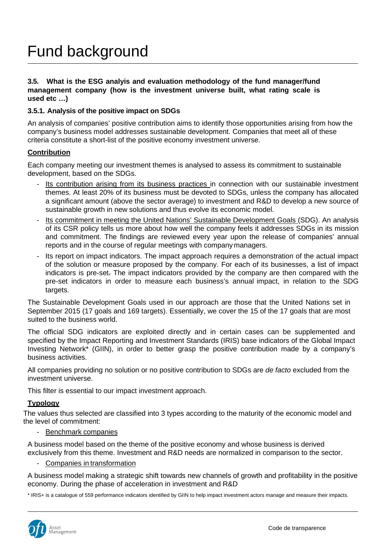#### **3.5. What is the ESG analyis and evaluation methodology of the fund manager/fund management company (how is the investment universe built, what rating scale is used etc …)**

#### **3.5.1. Analysis of the positive impact on SDGs**

An analysis of companies' positive contribution aims to identify those opportunities arising from how the company's business model addresses sustainable development. Companies that meet all of these criteria constitute a short-list of the positive economy investment universe.

#### **Contribution**

Each company meeting our investment themes is analysed to assess its commitment to sustainable development, based on the SDGs.

- Its contribution arising from its business practices in connection with our sustainable investment themes. At least 20% of its business must be devoted to SDGs, unless the company has allocated a significant amount (above the sector average) to investment and R&D to develop a new source of sustainable growth in new solutions and thus evolve its economic model.
- Its commitment in meeting the United Nations' Sustainable Development Goals (SDG). An analysis of its CSR policy tells us more about how well the company feels it addresses SDGs in its mission and commitment. The findings are reviewed every year upon the release of companies' annual reports and in the course of regular meetings with company managers.
- Its report on impact indicators. The impact approach requires a demonstration of the actual impact of the solution or measure proposed by the company. For each of its businesses, a list of impact indicators is pre-set. The impact indicators provided by the company are then compared with the pre-set indicators in order to measure each business's annual impact, in relation to the SDG targets.

The Sustainable Development Goals used in our approach are those that the United Nations set in September 2015 (17 goals and 169 targets). Essentially, we cover the 15 of the 17 goals that are most suited to the business world.

The official SDG indicators are exploited directly and in certain cases can be supplemented and specified by the Impact Reporting and Investment Standards (IRIS) base indicators of the Global Impact Investing Network\* (GIIN), in order to better grasp the positive contribution made by a company's business activities.

All companies providing no solution or no positive contribution to SDGs are *de facto* excluded from the investment universe.

This filter is essential to our impact investment approach.

#### **Typology**

The values thus selected are classified into 3 types according to the maturity of the economic model and the level of commitment:

- Benchmark companies

A business model based on the theme of the positive economy and whose business is derived exclusively from this theme. Investment and R&D needs are normalized in comparison to the sector.

- Companies in transformation

A business model making a strategic shift towards new channels of growth and profitability in the positive economy. During the phase of acceleration in investment and R&D

\* IRIS+ is a catalogue of 559 performance indicators identified by GIIN to help impact investment actors manage and measure their impacts.

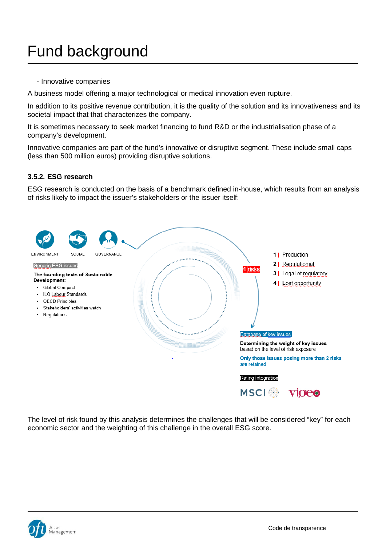- Innovative companies

A business model offering a major technological or medical innovation even rupture.

In addition to its positive revenue contribution, it is the quality of the solution and its innovativeness and its societal impact that that characterizes the company.

It is sometimes necessary to seek market financing to fund R&D or the industrialisation phase of a company's development.

Innovative companies are part of the fund's innovative or disruptive segment. These include small caps (less than 500 million euros) providing disruptive solutions.

#### **3.5.2. ESG research**

ESG research is conducted on the basis of a benchmark defined in-house, which results from an analysis of risks likely to impact the issuer's stakeholders or the issuer itself:



The level of risk found by this analysis determines the challenges that will be considered "key" for each economic sector and the weighting of this challenge in the overall ESG score.

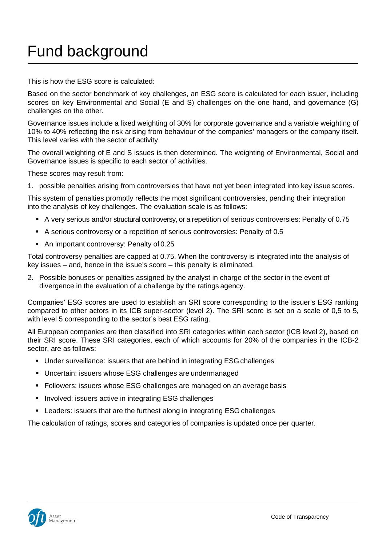#### This is how the ESG score is calculated:

Based on the sector benchmark of key challenges, an ESG score is calculated for each issuer, including scores on key Environmental and Social (E and S) challenges on the one hand, and governance (G) challenges on the other.

Governance issues include a fixed weighting of 30% for corporate governance and a variable weighting of 10% to 40% reflecting the risk arising from behaviour of the companies' managers or the company itself. This level varies with the sector of activity.

The overall weighting of E and S issues is then determined. The weighting of Environmental, Social and Governance issues is specific to each sector of activities.

These scores may result from:

1. possible penalties arising from controversies that have not yet been integrated into key issuescores.

This system of penalties promptly reflects the most significant controversies, pending their integration into the analysis of key challenges. The evaluation scale is as follows:

- A very serious and/or structural controversy, or a repetition of serious controversies: Penalty of 0.75
- A serious controversy or a repetition of serious controversies: Penalty of 0.5
- An important controversy: Penalty of 0.25

Total controversy penalties are capped at 0.75. When the controversy is integrated into the analysis of key issues – and, hence in the issue's score – this penalty is eliminated.

2. Possible bonuses or penalties assigned by the analyst in charge of the sector in the event of divergence in the evaluation of a challenge by the ratings agency.

Companies' ESG scores are used to establish an SRI score corresponding to the issuer's ESG ranking compared to other actors in its ICB super-sector (level 2). The SRI score is set on a scale of 0,5 to 5, with level 5 corresponding to the sector's best ESG rating.

All European companies are then classified into SRI categories within each sector (ICB level 2), based on their SRI score. These SRI categories, each of which accounts for 20% of the companies in the ICB-2 sector, are as follows:

- Under surveillance: issuers that are behind in integrating ESG challenges
- Uncertain: issuers whose ESG challenges are undermanaged
- Followers: issuers whose ESG challenges are managed on an average basis
- **Involved: issuers active in integrating ESG challenges**
- Leaders: issuers that are the furthest along in integrating ESG challenges

The calculation of ratings, scores and categories of companies is updated once per quarter.

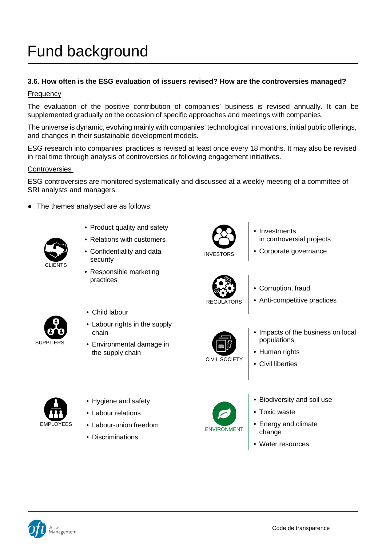#### **3.6. How often is the ESG evaluation of issuers revised? How are the controversies managed?**

#### Frequency

The evaluation of the positive contribution of companies' business is revised annually. It can be supplemented gradually on the occasion of specific approaches and meetings with companies.

The universe is dynamic, evolving mainly with companies' technological innovations, initial public offerings, and changes in their sustainable development models.

ESG research into companies' practices is revised at least once every 18 months. It may also be revised in real time through analysis of controversies or following engagement initiatives.

#### **Controversies**

ESG controversies are monitored systematically and discussed at a weekly meeting of a committee of SRI analysts and managers.

• The themes analysed are as follows:



- Product quality and safety
- Relations with customers
- Confidentiality and data security
- Responsible marketing practices



- Child labour
- Labour rights in the supply chain
- Environmental damage in the supply chain



- **Investments** in controversial projects
- Corporate governance



- Corruption, fraud
- Anti-competitive practices



- Impacts of the business on local populations
- Human rights
- Civil liberties



- Hygiene and safety
- Labour relations
- Labour-union freedom
- Discriminations



- Biodiversity and soil use
- Toxic waste
- Energy and climate change
- Water resources

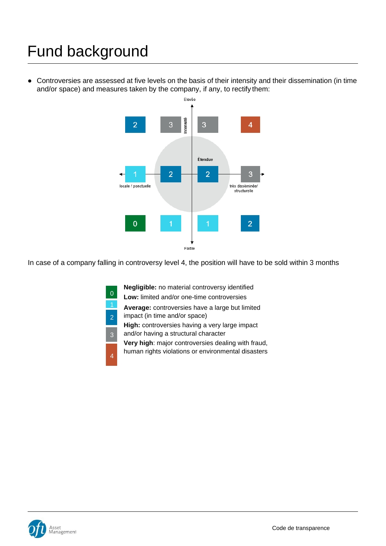● Controversies are assessed at five levels on the basis of their intensity and their dissemination (in time and/or space) and measures taken by the company, if any, to rectify them:



In case of a company falling in controversy level 4, the position will have to be sold within 3 months

**Negligible:** no material controversy identified

**Low:** limited and/or one-time controversies

**Average:** controversies have a large but limited

impact (in time and/or space)

0

2

3

4

- **High:** controversies having a very large impact
- and/or having a structural character

**Very high**: major controversies dealing with fraud,

human rights violations or environmental disasters

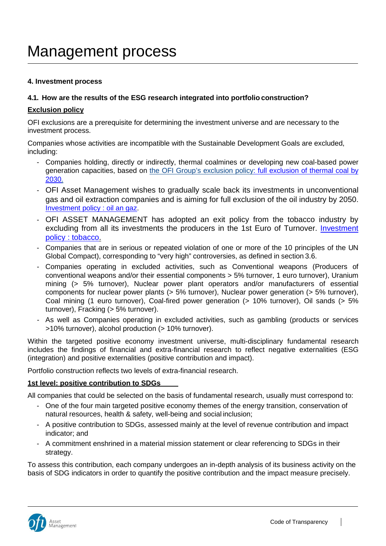#### **4. Investment process**

#### **4.1. How are the results of the ESG research integrated into portfolio construction?**

#### **Exclusion policy**

OFI exclusions are a prerequisite for determining the investment universe and are necessary to the investment process.

Companies whose activities are incompatible with the Sustainable Development Goals are excluded, including:

- Companies holding, directly or indirectly, thermal coalmines or developing new coal-based power generation capacities, based on the OFI Group's exclusion polic[y: full exclusion of thermal coal by](https://www.ofi-am.fr/pdf/ISR_Investment-policy_full-exclusion-of-thermal-coal-by-2030.pdf)  [2030.](https://www.ofi-am.fr/pdf/ISR_Investment-policy_full-exclusion-of-thermal-coal-by-2030.pdf)
- OFI Asset Management wishes to gradually scale back its investments in unconventional gas and oil extraction companies and is aiming for full exclusion of the oil industry by 2050. [Investment policy : oil an gaz.](https://www.ofi-am.fr/pdf/ISR_investment-policy_oil-and-gas.pdf)
- OFI ASSET MANAGEMENT has adopted an exit policy from the tobacco industry by excluding from all its investments the producers in the 1st Euro of Turnover. [Investment](https://www.ofi-am.fr/pdf/SRI_investment-policy_exclusion-of-tobacco.pdf)  [policy : tobacco.](https://www.ofi-am.fr/pdf/SRI_investment-policy_exclusion-of-tobacco.pdf)
- Companies that are in serious or repeated violation of one or more of the 10 principles of the UN Global Compact), corresponding to "very high" controversies, as defined in section 3.6.
- Companies operating in excluded activities, such as Conventional weapons (Producers of conventional weapons and/or their essential components > 5% turnover, 1 euro turnover), Uranium mining (> 5% turnover), Nuclear power plant operators and/or manufacturers of essential components for nuclear power plants (> 5% turnover), Nuclear power generation (> 5% turnover), Coal mining (1 euro turnover), Coal-fired power generation (> 10% turnover), Oil sands (> 5% turnover), Fracking (> 5% turnover).
- As well as Companies operating in excluded activities, such as gambling (products or services >10% turnover), alcohol production (> 10% turnover).

Within the targeted positive economy investment universe, multi-disciplinary fundamental research includes the findings of financial and extra-financial research to reflect negative externalities (ESG (integration) and positive externalities (positive contribution and impact).

Portfolio construction reflects two levels of extra-financial research.

#### **1st level: positive contribution to SDGs**

All companies that could be selected on the basis of fundamental research, usually must correspond to:

- One of the four main targeted positive economy themes of the energy transition, conservation of natural resources, health & safety, well-being and social inclusion;
- A positive contribution to SDGs, assessed mainly at the level of revenue contribution and impact indicator; and
- A commitment enshrined in a material mission statement or clear referencing to SDGs in their strategy.

To assess this contribution, each company undergoes an in-depth analysis of its business activity on the basis of SDG indicators in order to quantify the positive contribution and the impact measure precisely.



 $\overline{\phantom{a}}$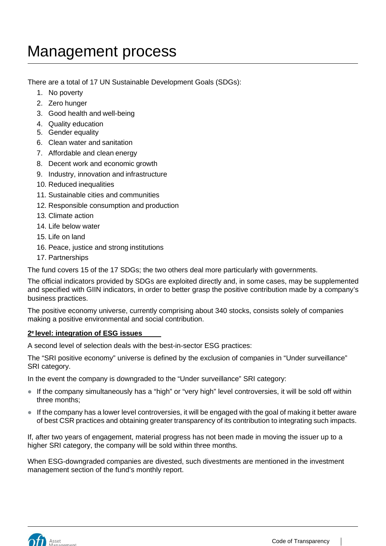There are a total of 17 UN Sustainable Development Goals (SDGs):

- 1. No poverty
- 2. Zero hunger
- 3. Good health and well-being
- 4. Quality education
- 5. Gender equality
- 6. Clean water and sanitation
- 7. Affordable and clean energy
- 8. Decent work and economic growth
- 9. Industry, innovation and infrastructure
- 10. Reduced inequalities
- 11. Sustainable cities and communities
- 12. Responsible consumption and production
- 13. Climate action
- 14. Life below water
- 15. Life on land
- 16. Peace, justice and strong institutions
- 17. Partnerships

The fund covers 15 of the 17 SDGs; the two others deal more particularly with governments.

The official indicators provided by SDGs are exploited directly and, in some cases, may be supplemented and specified with GIIN indicators, in order to better grasp the positive contribution made by a company's business practices.

The positive economy universe, currently comprising about 340 stocks, consists solely of companies making a positive environmental and social contribution.

#### **2e level: integration of ESG issues**

A second level of selection deals with the best-in-sector ESG practices:

The "SRI positive economy" universe is defined by the exclusion of companies in "Under surveillance" SRI category.

In the event the company is downgraded to the "Under surveillance" SRI category:

- If the company simultaneously has a "high" or "very high" level controversies, it will be sold off within three months;
- If the company has a lower level controversies, it will be engaged with the goal of making it better aware of best CSR practices and obtaining greater transparency of its contribution to integrating such impacts.

If, after two years of engagement, material progress has not been made in moving the issuer up to a higher SRI category, the company will be sold within three months.

When ESG-downgraded companies are divested, such divestments are mentioned in the investment management section of the fund's monthly report.

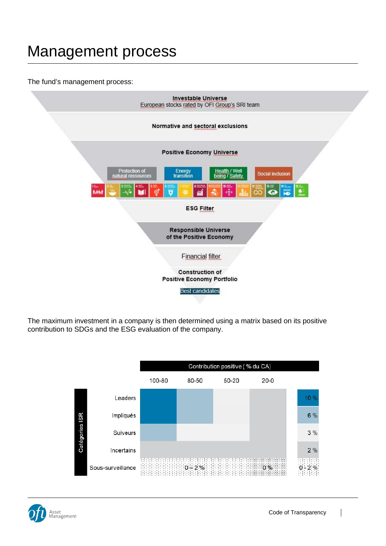#### The fund's management process:



The maximum investment in a company is then determined using a matrix based on its positive contribution to SDGs and the ESG evaluation of the company.





 $\overline{\phantom{a}}$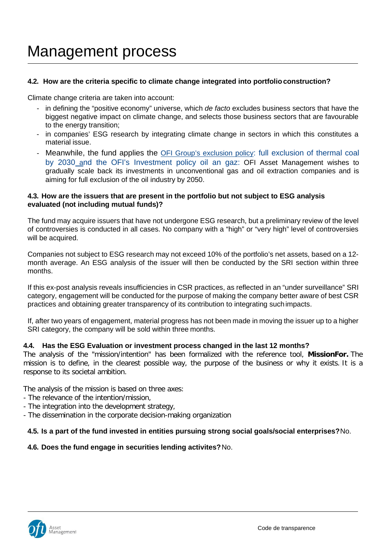#### **4.2. How are the criteria specific to climate change integrated into portfolioconstruction?**

Climate change criteria are taken into account:

- in defining the "positive economy" universe, which *de facto* excludes business sectors that have the biggest negative impact on climate change, and selects those business sectors that are favourable to the energy transition;
- in companies' ESG research by integrating climate change in sectors in which this constitutes a material issue.
- Meanwhile, the fund applies the **OFI Group's exclusion policy:** full exclusion of thermal coal [by 2030](https://www.ofi-am.fr/pdf/ISR_Investment-policy_full-exclusion-of-thermal-coal-by-2030.pdf) and the OFI's [Investment policy oil an gaz:](https://www.ofi-am.fr/pdf/ISR_investment-policy_oil-and-gas.pdf) OFI Asset Management wishes to gradually scale back its investments in unconventional gas and oil extraction companies and is aiming for full exclusion of the oil industry by 2050.

#### **4.3. How are the issuers that are present in the portfolio but not subject to ESG analysis evaluated (not including mutual funds)?**

The fund may acquire issuers that have not undergone ESG research, but a preliminary review of the level of controversies is conducted in all cases. No company with a "high" or "very high" level of controversies will be acquired.

Companies not subject to ESG research may not exceed 10% of the portfolio's net assets, based on a 12 month average. An ESG analysis of the issuer will then be conducted by the SRI section within three months.

If this ex-post analysis reveals insufficiencies in CSR practices, as reflected in an "under surveillance" SRI category, engagement will be conducted for the purpose of making the company better aware of best CSR practices and obtaining greater transparency of its contribution to integrating suchimpacts.

If, after two years of engagement, material progress has not been made in moving the issuer up to a higher SRI category, the company will be sold within three months.

#### **4.4. Has the ESG Evaluation or investment process changed in the last 12 months?**

The analysis of the "mission/intention" has been formalized with the reference tool, **MissionFor.** The mission is to define, in the clearest possible way, the purpose of the business or why it exists. It is a response to its societal ambition.

The analysis of the mission is based on three axes:

- The relevance of the intention/mission,
- The integration into the development strategy,
- The dissemination in the corporate decision-making organization

#### **4.5. Is a part of the fund invested in entities pursuing strong social goals/social enterprises?**No.

#### **4.6. Does the fund engage in securities lending activites?**No.

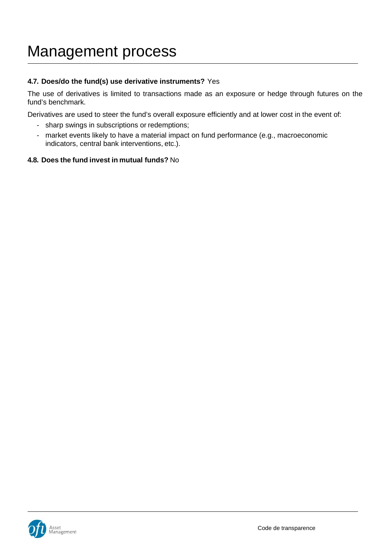#### **4.7. Does/do the fund(s) use derivative instruments?** Yes

The use of derivatives is limited to transactions made as an exposure or hedge through futures on the fund's benchmark.

Derivatives are used to steer the fund's overall exposure efficiently and at lower cost in the event of:

- sharp swings in subscriptions or redemptions;
- market events likely to have a material impact on fund performance (e.g., macroeconomic indicators, central bank interventions, etc.).

#### **4.8. Does the fund invest in mutual funds?** No

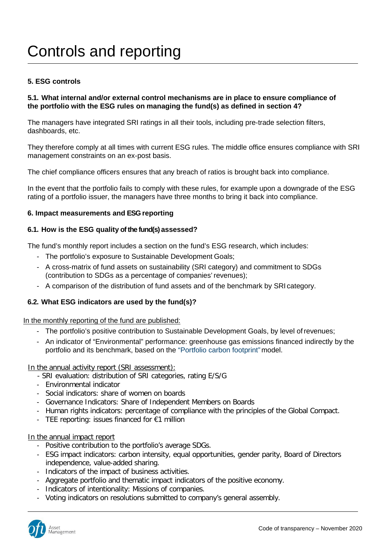### Controls and reporting

#### **5. ESG controls**

#### **5.1. What internal and/or external control mechanisms are in place to ensure compliance of the portfolio with the ESG rules on managing the fund(s) as defined in section 4?**

The managers have integrated SRI ratings in all their tools, including pre-trade selection filters, dashboards, etc.

They therefore comply at all times with current ESG rules. The middle office ensures compliance with SRI management constraints on an ex-post basis.

The chief compliance officers ensures that any breach of ratios is brought back into compliance.

In the event that the portfolio fails to comply with these rules, for example upon a downgrade of the ESG rating of a portfolio issuer, the managers have three months to bring it back into compliance.

#### **6. Impact measurements and ESG reporting**

#### **6.1. How is the ESG quality of the fund(s) assessed?**

The fund's monthly report includes a section on the fund's ESG research, which includes:

- The portfolio's exposure to Sustainable Development Goals;
- A cross-matrix of fund assets on sustainability (SRI category) and commitment to SDGs (contribution to SDGs as a percentage of companies' revenues);
- A comparison of the distribution of fund assets and of the benchmark by SRI category.

#### **6.2. What ESG indicators are used by the fund(s)?**

In the monthly reporting of the fund are published:

- The portfolio's positive contribution to Sustainable Development Goals, by level ofrevenues;
- An indicator of "Environmental" performance: greenhouse gas emissions financed indirectly by the portfolio and its benchmark, based on the "Portfolio carbon footprint"model.

In the annual activity report (SRI assessment):

- SRI evaluation: distribution of SRI categories, rating E/S/G
- Environmental indicator
- Social indicators: share of women on boards
- Governance Indicators: Share of Independent Members on Boards
- Human rights indicators: percentage of compliance with the principles of the Global Compact.
- TEE reporting: issues financed for €1 million

#### In the annual impact report

- Positive contribution to the portfolio's average SDGs.
- ESG impact indicators: carbon intensity, equal opportunities, gender parity, Board of Directors independence, value-added sharing.
- Indicators of the impact of business activities.
- Aggregate portfolio and thematic impact indicators of the positive economy.
- Indicators of intentionality: Missions of companies.
- Voting indicators on resolutions submitted to company's general assembly.

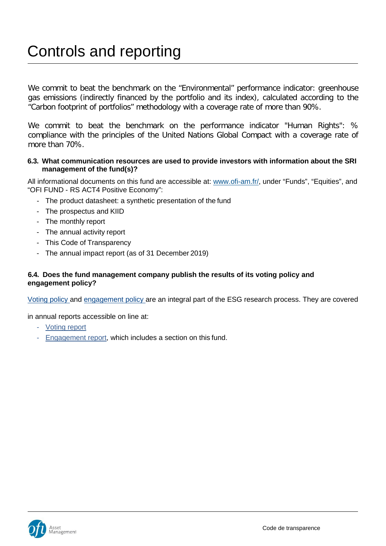### Controls and reporting

We commit to beat the benchmark on the "Environmental" performance indicator: greenhouse gas emissions (indirectly financed by the portfolio and its index), calculated according to the "Carbon footprint of portfolios" methodology with a coverage rate of more than 90%.

We commit to beat the benchmark on the performance indicator "Human Rights": % compliance with the principles of the United Nations Global Compact with a coverage rate of more than 70%.

#### **6.3. What communication resources are used to provide investors with information about the SRI management of the fund(s)?**

All informational documents on this fund are accessible at: [www.ofi-am.fr/,](http://www.ofi-am.fr/) under "Funds", "Equities", and "OFI FUND - RS ACT4 Positive Economy":

- The product datasheet: a synthetic presentation of the fund
- The prospectus and KIID
- The monthly report
- The annual activity report
- This Code of Transparency
- The annual impact report (as of 31 December 2019)

#### **6.4. Does the fund management company publish the results of its voting policy and engagement policy?**

Voting policy and engagement policy are an integral part of the ESG research process. They are covered

in annual reports accessible on line at:

- Voting report
- Engagement report, which includes a section on this fund.

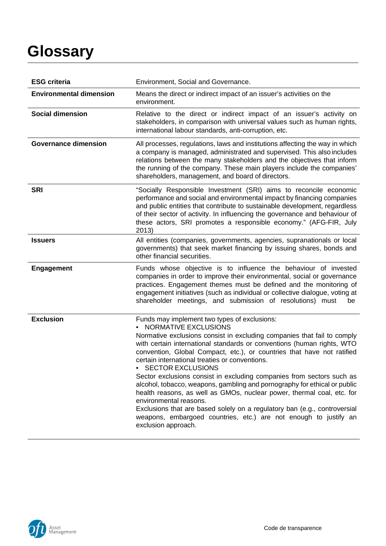# **Glossary**

| <b>ESG criteria</b>            | Environment, Social and Governance.                                                                                                                                                                                                                                                                                                                                                                                                                                                                                                                                                                                                                                                                                                                                                                                        |
|--------------------------------|----------------------------------------------------------------------------------------------------------------------------------------------------------------------------------------------------------------------------------------------------------------------------------------------------------------------------------------------------------------------------------------------------------------------------------------------------------------------------------------------------------------------------------------------------------------------------------------------------------------------------------------------------------------------------------------------------------------------------------------------------------------------------------------------------------------------------|
| <b>Environmental dimension</b> | Means the direct or indirect impact of an issuer's activities on the<br>environment.                                                                                                                                                                                                                                                                                                                                                                                                                                                                                                                                                                                                                                                                                                                                       |
| <b>Social dimension</b>        | Relative to the direct or indirect impact of an issuer's activity on<br>stakeholders, in comparison with universal values such as human rights,<br>international labour standards, anti-corruption, etc.                                                                                                                                                                                                                                                                                                                                                                                                                                                                                                                                                                                                                   |
| <b>Governance dimension</b>    | All processes, regulations, laws and institutions affecting the way in which<br>a company is managed, administrated and supervised. This also includes<br>relations between the many stakeholders and the objectives that inform<br>the running of the company. These main players include the companies'<br>shareholders, management, and board of directors.                                                                                                                                                                                                                                                                                                                                                                                                                                                             |
| <b>SRI</b>                     | "Socially Responsible Investment (SRI) aims to reconcile economic<br>performance and social and environmental impact by financing companies<br>and public entities that contribute to sustainable development, regardless<br>of their sector of activity. In influencing the governance and behaviour of<br>these actors, SRI promotes a responsible economy." (AFG-FIR, July<br>2013)                                                                                                                                                                                                                                                                                                                                                                                                                                     |
| <b>Issuers</b>                 | All entities (companies, governments, agencies, supranationals or local<br>governments) that seek market financing by issuing shares, bonds and<br>other financial securities.                                                                                                                                                                                                                                                                                                                                                                                                                                                                                                                                                                                                                                             |
| <b>Engagement</b>              | Funds whose objective is to influence the behaviour of invested<br>companies in order to improve their environmental, social or governance<br>practices. Engagement themes must be defined and the monitoring of<br>engagement initiatives (such as individual or collective dialogue, voting at<br>shareholder meetings, and submission of resolutions) must<br>be                                                                                                                                                                                                                                                                                                                                                                                                                                                        |
| <b>Exclusion</b>               | Funds may implement two types of exclusions:<br><b>NORMATIVE EXCLUSIONS</b><br>Normative exclusions consist in excluding companies that fail to comply<br>with certain international standards or conventions (human rights, WTO<br>convention, Global Compact, etc.), or countries that have not ratified<br>certain international treaties or conventions.<br><b>SECTOR EXCLUSIONS</b><br>Sector exclusions consist in excluding companies from sectors such as<br>alcohol, tobacco, weapons, gambling and pornography for ethical or public<br>health reasons, as well as GMOs, nuclear power, thermal coal, etc. for<br>environmental reasons.<br>Exclusions that are based solely on a regulatory ban (e.g., controversial<br>weapons, embargoed countries, etc.) are not enough to justify an<br>exclusion approach. |

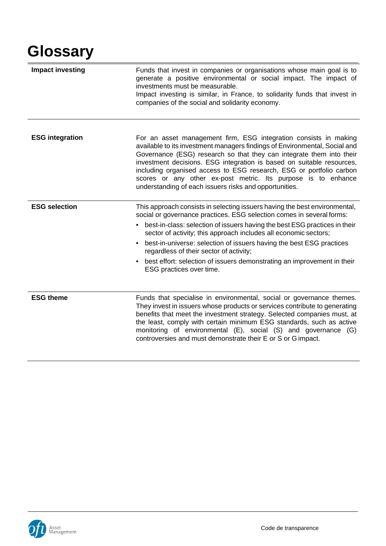# **Glossary**

| <b>Impact investing</b> | Funds that invest in companies or organisations whose main goal is to<br>generate a positive environmental or social impact. The impact of<br>investments must be measurable.<br>Impact investing is similar, in France, to solidarity funds that invest in<br>companies of the social and solidarity economy.                                                                                                                                                                                                                                    |
|-------------------------|---------------------------------------------------------------------------------------------------------------------------------------------------------------------------------------------------------------------------------------------------------------------------------------------------------------------------------------------------------------------------------------------------------------------------------------------------------------------------------------------------------------------------------------------------|
| <b>ESG integration</b>  | For an asset management firm, ESG integration consists in making<br>available to its investment managers findings of Environmental, Social and<br>Governance (ESG) research so that they can integrate them into their<br>investment decisions. ESG integration is based on suitable resources,<br>including organised access to ESG research, ESG or portfolio carbon<br>scores or any other ex-post metric. Its purpose is to enhance<br>understanding of each issuers risks and opportunities.                                                 |
| <b>ESG selection</b>    | This approach consists in selecting issuers having the best environmental,<br>social or governance practices. ESG selection comes in several forms:<br>best-in-class: selection of issuers having the best ESG practices in their<br>٠<br>sector of activity; this approach includes all economic sectors;<br>best-in-universe: selection of issuers having the best ESG practices<br>regardless of their sector of activity;<br>best effort: selection of issuers demonstrating an improvement in their<br>$\bullet$<br>ESG practices over time. |
| <b>ESG theme</b>        | Funds that specialise in environmental, social or governance themes.<br>They invest in issuers whose products or services contribute to generating<br>benefits that meet the investment strategy. Selected companies must, at<br>the least, comply with certain minimum ESG standards, such as active<br>monitoring of environmental (E), social (S) and governance (G)<br>controversies and must demonstrate their E or S or G impact.                                                                                                           |

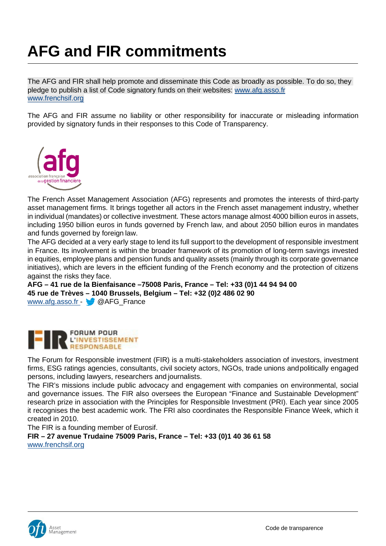# **AFG and FIR commitments**

The AFG and FIR shall help promote and disseminate this Code as broadly as possible. To do so, they pledge to publish a list of Code signatory funds on their websites: [www.afg.asso.fr](http://www.afg.asso.fr/) [www.frenchsif.org](http://www.frenchsif.org/)

The AFG and FIR assume no liability or other responsibility for inaccurate or misleading information provided by signatory funds in their responses to this Code of Transparency.



The French Asset Management Association (AFG) represents and promotes the interests of third-party asset management firms. It brings together all actors in the French asset management industry, whether in individual (mandates) or collective investment. These actors manage almost 4000 billion euros in assets, including 1950 billion euros in funds governed by French law, and about 2050 billion euros in mandates and funds governed by foreign law.

The AFG decided at a very early stage to lend its full support to the development of responsible investment in France. Its involvement is within the broader framework of its promotion of long-term savings invested in equities, employee plans and pension funds and quality assets (mainly through its corporate governance initiatives), which are levers in the efficient funding of the French economy and the protection of citizens against the risks they face.

**AFG – 41 rue de la Bienfaisance –75008 Paris, France – Tel: +33 (0)1 44 94 94 00 45 rue de Trèves – 1040 Brussels, Belgium – Tel: +32 (0)2 486 02 90** [www.afg.asso.fr -](http://www.afg.asso.fr/) @ @AFG\_France



The Forum for Responsible investment (FIR) is a multi-stakeholders association of investors, investment firms, ESG ratings agencies, consultants, civil society actors, NGOs, trade unions andpolitically engaged persons, including lawyers, researchers and journalists.

The FIR's missions include public advocacy and engagement with companies on environmental, social and governance issues. The FIR also oversees the European "Finance and Sustainable Development" research prize in association with the Principles for Responsible Investment (PRI). Each year since 2005 it recognises the best academic work. The FRI also coordinates the Responsible Finance Week, which it created in 2010.

The FIR is a founding member of Eurosif.

**FIR – 27 avenue Trudaine 75009 Paris, France – Tel: +33 (0)1 40 36 61 58** [www.frenchsif.org](http://www.frenchsif.org/)

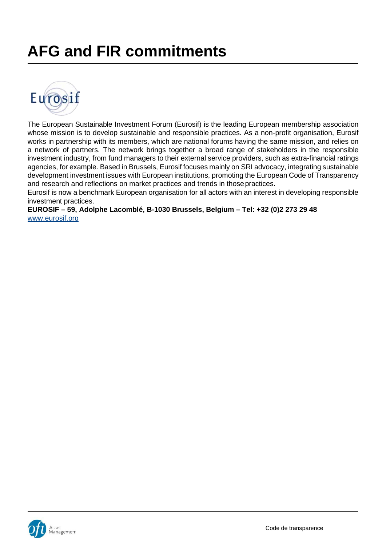# **AFG and FIR commitments**



The European Sustainable Investment Forum (Eurosif) is the leading European membership association whose mission is to develop sustainable and responsible practices. As a non-profit organisation, Eurosif works in partnership with its members, which are national forums having the same mission, and relies on a network of partners. The network brings together a broad range of stakeholders in the responsible investment industry, from fund managers to their external service providers, such as extra-financial ratings agencies, for example. Based in Brussels, Eurosif focuses mainly on SRI advocacy, integrating sustainable development investment issues with European institutions, promoting the European Code of Transparency and research and reflections on market practices and trends in thosepractices.

Eurosif is now a benchmark European organisation for all actors with an interest in developing responsible investment practices.

**EUROSIF – 59, Adolphe Lacomblé, B-1030 Brussels, Belgium – Tel: +32 (0)2 273 29 48** [www.eurosif.org](http://www.eurosif.org/)